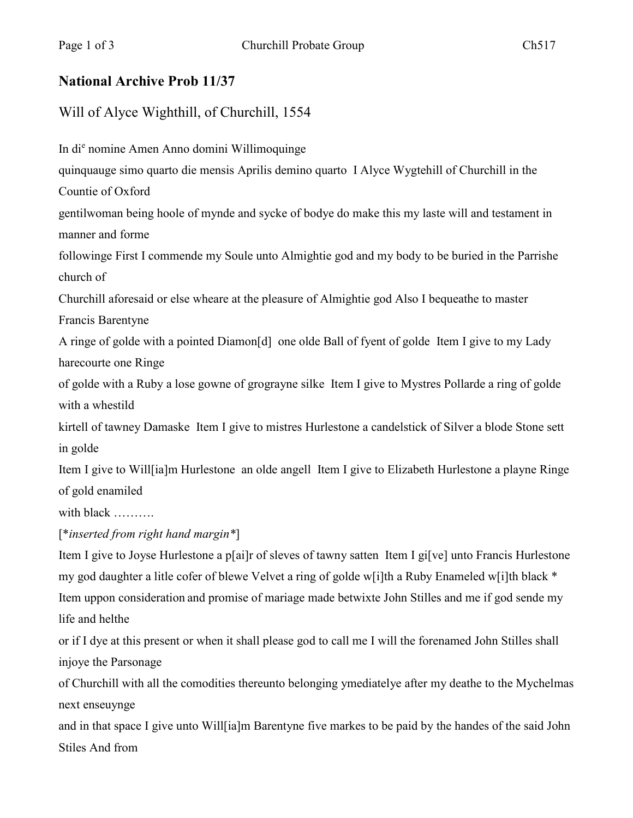## **National Archive Prob 11/37**

## Will of Alyce Wighthill, of Churchill, 1554

In di<sup>e</sup> nomine Amen Anno domini Willimoquinge quinquauge simo quarto die mensis Aprilis demino quarto I Alyce Wygtehill of Churchill in the Countie of Oxford gentilwoman being hoole of mynde and sycke of bodye do make this my laste will and testament in manner and forme followinge First I commende my Soule unto Almightie god and my body to be buried in the Parrishe church of Churchill aforesaid or else wheare at the pleasure of Almightie god Also I bequeathe to master Francis Barentyne A ringe of golde with a pointed Diamon[d] one olde Ball of fyent of golde Item I give to my Lady harecourte one Ringe of golde with a Ruby a lose gowne of grograyne silke Item I give to Mystres Pollarde a ring of golde with a whestild kirtell of tawney Damaske Item I give to mistres Hurlestone a candelstick of Silver a blode Stone sett in golde Item I give to Will[ia]m Hurlestone an olde angell Item I give to Elizabeth Hurlestone a playne Ringe of gold enamiled with black ………. [\**inserted from right hand margin\**] Item I give to Joyse Hurlestone a p[ai]r of sleves of tawny satten Item I gi[ve] unto Francis Hurlestone my god daughter a litle cofer of blewe Velvet a ring of golde w[i]th a Ruby Enameled w[i]th black \*

Item uppon consideration and promise of mariage made betwixte John Stilles and me if god sende my life and helthe

or if I dye at this present or when it shall please god to call me I will the forenamed John Stilles shall injoye the Parsonage

of Churchill with all the comodities thereunto belonging ymediatelye after my deathe to the Mychelmas next enseuynge

and in that space I give unto Will[ia]m Barentyne five markes to be paid by the handes of the said John Stiles And from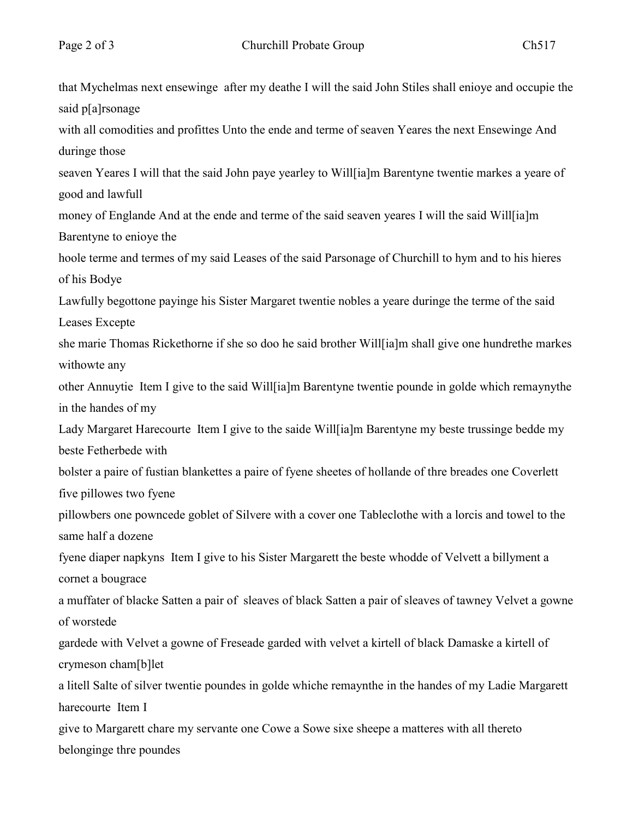that Mychelmas next ensewinge after my deathe I will the said John Stiles shall enioye and occupie the said p[a]rsonage with all comodities and profittes Unto the ende and terme of seaven Yeares the next Ensewinge And duringe those seaven Yeares I will that the said John paye yearley to Will[ia]m Barentyne twentie markes a yeare of good and lawfull money of Englande And at the ende and terme of the said seaven yeares I will the said Will[ia]m Barentyne to enioye the hoole terme and termes of my said Leases of the said Parsonage of Churchill to hym and to his hieres of his Bodye Lawfully begottone payinge his Sister Margaret twentie nobles a yeare duringe the terme of the said Leases Excepte she marie Thomas Rickethorne if she so doo he said brother Will[ia]m shall give one hundrethe markes withowte any other Annuytie Item I give to the said Will[ia]m Barentyne twentie pounde in golde which remaynythe in the handes of my Lady Margaret Harecourte Item I give to the saide Will[ia]m Barentyne my beste trussinge bedde my beste Fetherbede with bolster a paire of fustian blankettes a paire of fyene sheetes of hollande of thre breades one Coverlett five pillowes two fyene pillowbers one powncede goblet of Silvere with a cover one Tableclothe with a lorcis and towel to the same half a dozene fyene diaper napkyns Item I give to his Sister Margarett the beste whodde of Velvett a billyment a cornet a bougrace a muffater of blacke Satten a pair of sleaves of black Satten a pair of sleaves of tawney Velvet a gowne of worstede gardede with Velvet a gowne of Freseade garded with velvet a kirtell of black Damaske a kirtell of crymeson cham[b]let a litell Salte of silver twentie poundes in golde whiche remaynthe in the handes of my Ladie Margarett harecourte Item I give to Margarett chare my servante one Cowe a Sowe sixe sheepe a matteres with all thereto belonginge thre poundes